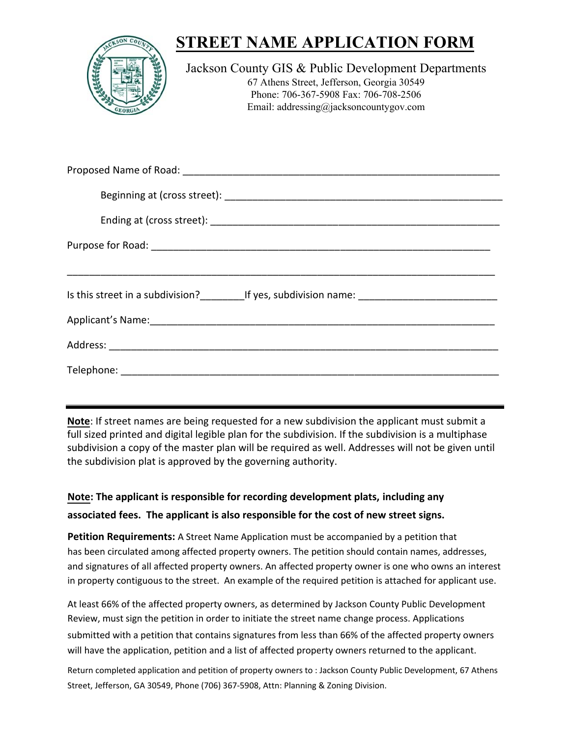| <b>STREET NAME APPLICATION FORM</b>                                                                                                                                                  |
|--------------------------------------------------------------------------------------------------------------------------------------------------------------------------------------|
| Jackson County GIS & Public Development Departments<br>67 Athens Street, Jefferson, Georgia 30549<br>Phone: 706-367-5908 Fax: 706-708-2506<br>Email: addressing@jacksoncountygov.com |
|                                                                                                                                                                                      |

| Is this street in a subdivision? _____________If yes, subdivision name: ____________________________                                                                                                                           |  |  |  |  |
|--------------------------------------------------------------------------------------------------------------------------------------------------------------------------------------------------------------------------------|--|--|--|--|
| Applicant's Name: 1990 Manual Communication of the Manual Communication of the Manual Communication of the Manual Communication of the Manual Communication of the Manual Communication of the Manual Communication of the Man |  |  |  |  |
|                                                                                                                                                                                                                                |  |  |  |  |
|                                                                                                                                                                                                                                |  |  |  |  |

**Note**: If street names are being requested for a new subdivision the applicant must submit a full sized printed and digital legible plan for the subdivision. If the subdivision is a multiphase subdivision a copy of the master plan will be required as well. Addresses will not be given until the subdivision plat is approved by the governing authority.

## **Note: The applicant is responsible for recording development plats, including any associated fees. The applicant is also responsible for the cost of new street signs.**

**Petition Requirements:** A Street Name Application must be accompanied by a petition that has been circulated among affected property owners. The petition should contain names, addresses, and signatures of all affected property owners. An affected property owner is one who owns an interest in property contiguous to the street. An example of the required petition is attached for applicant use.

At least 66% of the affected property owners, as determined by Jackson County Public Development Review, must sign the petition in order to initiate the street name change process. Applications submitted with a petition that contains signatures from less than 66% of the affected property owners will have the application, petition and a list of affected property owners returned to the applicant.

Return completed application and petition of property owners to : Jackson County Public Development, 67 Athens Street, Jefferson, GA 30549, Phone (706) 367-5908, Attn: Planning & Zoning Division.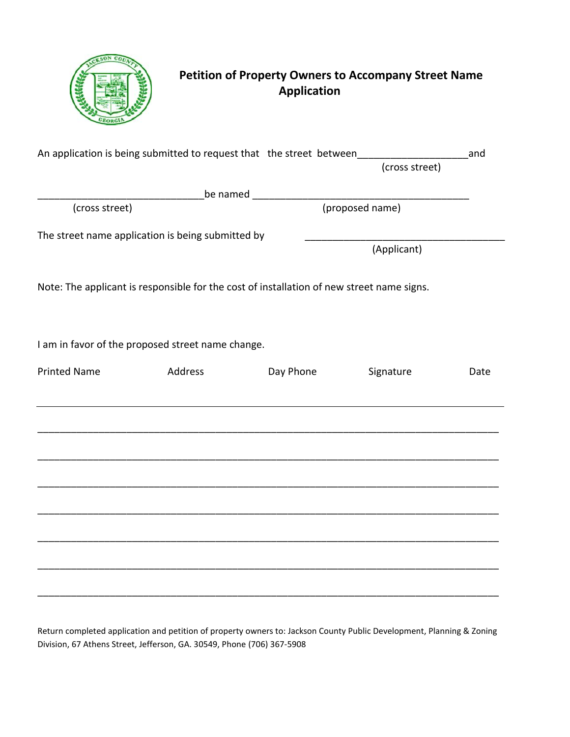

# **Petition of Property Owners to Accompany Street Name Application**

|                     |                                                                                           | An application is being submitted to request that the street between<br>(cross street) |             | and  |
|---------------------|-------------------------------------------------------------------------------------------|----------------------------------------------------------------------------------------|-------------|------|
|                     |                                                                                           |                                                                                        |             |      |
|                     |                                                                                           |                                                                                        |             |      |
| (cross street)      |                                                                                           | (proposed name)                                                                        |             |      |
|                     | The street name application is being submitted by                                         |                                                                                        |             |      |
|                     |                                                                                           |                                                                                        | (Applicant) |      |
|                     | Note: The applicant is responsible for the cost of installation of new street name signs. |                                                                                        |             |      |
|                     | I am in favor of the proposed street name change.                                         |                                                                                        |             |      |
| <b>Printed Name</b> | Address                                                                                   | Day Phone                                                                              | Signature   | Date |
|                     |                                                                                           |                                                                                        |             |      |
|                     |                                                                                           |                                                                                        |             |      |
|                     |                                                                                           |                                                                                        |             |      |
|                     |                                                                                           |                                                                                        |             |      |
|                     |                                                                                           |                                                                                        |             |      |
|                     |                                                                                           |                                                                                        |             |      |
|                     |                                                                                           |                                                                                        |             |      |
|                     |                                                                                           |                                                                                        |             |      |

Return completed application and petition of property owners to: Jackson County Public Development, Planning & Zoning Division, 67 Athens Street, Jefferson, GA. 30549, Phone (706) 367-5908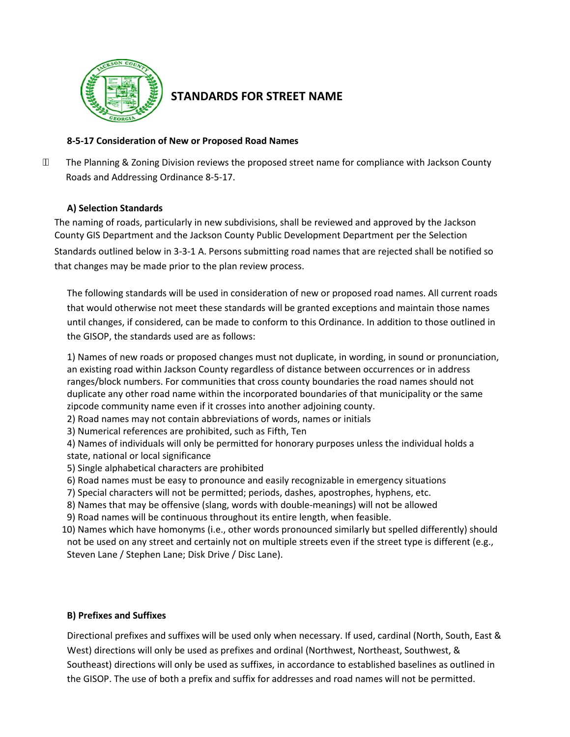

### **STANDARDS FOR STREET NAME**

#### **8-5-17 Consideration of New or Proposed Road Names**

ÁА The Planning & Zoning Division reviews the proposed street name for compliance with Jackson County Roads and Addressing Ordinance 8-5-17.

#### **A) Selection Standards**

The naming of roads, particularly in new subdivisions, shall be reviewed and approved by the Jackson County GIS Department and the Jackson Count[y Public Development Departmen](http://www.jacksoncountygov.com/298/Planning-Zoning)t per the Selection Standards outlined below in 3-3-1 A. Persons submitting road names that are rejected shall be notified so that changes may be made prior to the plan review process.

The following standards will be used in consideration of new or proposed road names. All current roads that would otherwise not meet these standards will be granted exceptions and maintain those names until changes, if considered, can be made to conform to this Ordinance. In addition to those outlined in the GISOP, the standards used are as follows:

1) Names of new roads or proposed changes must not duplicate, in wording, in sound or pronunciation, an existing road within Jackson County regardless of distance between occurrences or in address ranges/block numbers. For communities that cross county boundaries the road names should not duplicate any other road name within the incorporated boundaries of that municipality or the same zipcode community name even if it crosses into another adjoining county.

- 2) Road names may not contain abbreviations of words, names or initials
- 3) Numerical references are prohibited, such as Fifth, Ten
- 4) Names of individuals will only be permitted for honorary purposes unless the individual holds a state, national or local significance
- 5) Single alphabetical characters are prohibited
- 6) Road names must be easy to pronounce and easily recognizable in emergency situations
- 7) Special characters will not be permitted; periods, dashes, apostrophes, hyphens, etc.
- 8) Names that may be offensive (slang, words with double-meanings) will not be allowed
- 9) Road names will be continuous throughout its entire length, when feasible.
- 10) Names which have homonyms (i.e., other words pronounced similarly but spelled differently) should not be used on any street and certainly not on multiple streets even if the street type is different (e.g., Steven Lane / Stephen Lane; Disk Drive / Disc Lane).

#### **B) Prefixes and Suffixes**

Directional prefixes and suffixes will be used only when necessary. If used, cardinal (North, South, East & West) directions will only be used as prefixes and ordinal (Northwest, Northeast, Southwest, & Southeast) directions will only be used as suffixes, in accordance to established baselines as outlined in the GISOP. The use of both a prefix and suffix for addresses and road names will not be permitted.